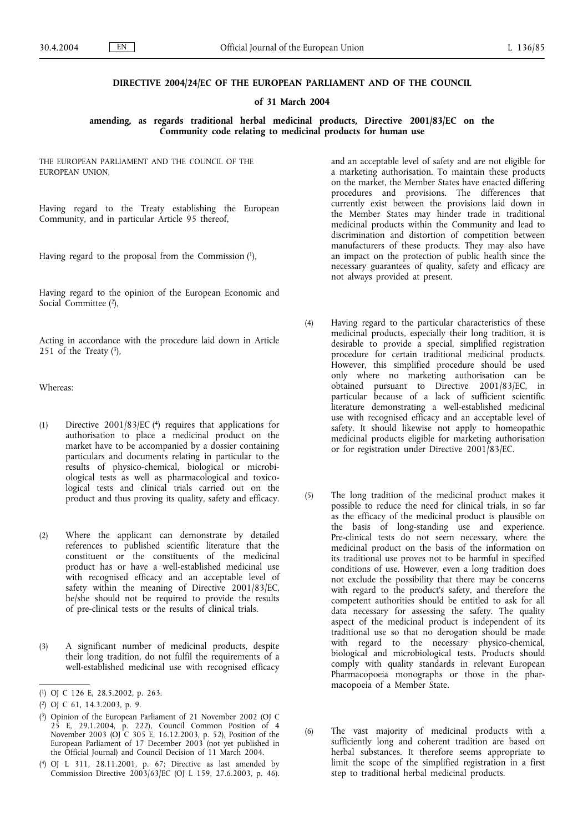## **DIRECTIVE 2004/24/EC OF THE EUROPEAN PARLIAMENT AND OF THE COUNCIL**

### **of 31 March 2004**

**amending, as regards traditional herbal medicinal products, Directive 2001/83/EC on the Community code relating to medicinal products for human use**

THE EUROPEAN PARLIAMENT AND THE COUNCIL OF THE EUROPEAN UNION,

Having regard to the Treaty establishing the European Community, and in particular Article 95 thereof,

Having regard to the proposal from the Commission (1),

Having regard to the opinion of the European Economic and Social Committee (2),

Acting in accordance with the procedure laid down in Article 251 of the Treaty  $(3)$ ,

Whereas:

- (1) Directive 2001/83/EC (4) requires that applications for authorisation to place a medicinal product on the market have to be accompanied by a dossier containing particulars and documents relating in particular to the results of physico-chemical, biological or microbiological tests as well as pharmacological and toxicological tests and clinical trials carried out on the product and thus proving its quality, safety and efficacy.
- (2) Where the applicant can demonstrate by detailed references to published scientific literature that the constituent or the constituents of the medicinal product has or have a well-established medicinal use with recognised efficacy and an acceptable level of safety within the meaning of Directive 2001/83/EC, he/she should not be required to provide the results of pre-clinical tests or the results of clinical trials.
- (3) A significant number of medicinal products, despite their long tradition, do not fulfil the requirements of a well-established medicinal use with recognised efficacy

and an acceptable level of safety and are not eligible for a marketing authorisation. To maintain these products on the market, the Member States have enacted differing procedures and provisions. The differences that currently exist between the provisions laid down in the Member States may hinder trade in traditional medicinal products within the Community and lead to discrimination and distortion of competition between manufacturers of these products. They may also have an impact on the protection of public health since the necessary guarantees of quality, safety and efficacy are not always provided at present.

- (4) Having regard to the particular characteristics of these medicinal products, especially their long tradition, it is desirable to provide a special, simplified registration procedure for certain traditional medicinal products. However, this simplified procedure should be used only where no marketing authorisation can be obtained pursuant to Directive 2001/83/EC, in particular because of a lack of sufficient scientific literature demonstrating a well-established medicinal use with recognised efficacy and an acceptable level of safety. It should likewise not apply to homeopathic medicinal products eligible for marketing authorisation or for registration under Directive 2001/83/EC.
- (5) The long tradition of the medicinal product makes it possible to reduce the need for clinical trials, in so far as the efficacy of the medicinal product is plausible on the basis of long-standing use and experience. Pre-clinical tests do not seem necessary, where the medicinal product on the basis of the information on its traditional use proves not to be harmful in specified conditions of use. However, even a long tradition does not exclude the possibility that there may be concerns with regard to the product's safety, and therefore the competent authorities should be entitled to ask for all data necessary for assessing the safety. The quality aspect of the medicinal product is independent of its traditional use so that no derogation should be made with regard to the necessary physico-chemical, biological and microbiological tests. Products should comply with quality standards in relevant European Pharmacopoeia monographs or those in the pharmacopoeia of a Member State.
- (6) The vast majority of medicinal products with a sufficiently long and coherent tradition are based on herbal substances. It therefore seems appropriate to limit the scope of the simplified registration in a first step to traditional herbal medicinal products.

<sup>(</sup> 1) OJ C 126 E, 28.5.2002, p. 263.

<sup>(</sup> 2) OJ C 61, 14.3.2003, p. 9.

<sup>(</sup> 3) Opinion of the European Parliament of 21 November 2002 (OJ C 25 E, 29.1.2004, p. 222), Council Common Position of 4 November 2003 (OJ C 305 E, 16.12.2003, p. 52), Position of the European Parliament of 17 December 2003 (not yet published in the Official Journal) and Council Decision of 11 March 2004.

<sup>(</sup> 4) OJ L 311, 28.11.2001, p. 67; Directive as last amended by Commission Directive 2003/63/EC (OJ L 159, 27.6.2003, p. 46).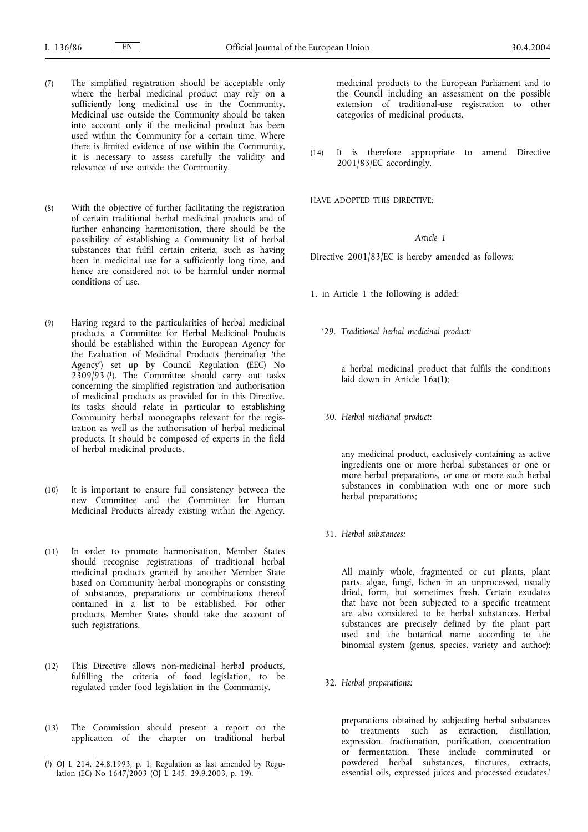- (7) The simplified registration should be acceptable only where the herbal medicinal product may rely on a sufficiently long medicinal use in the Community. Medicinal use outside the Community should be taken into account only if the medicinal product has been used within the Community for a certain time. Where there is limited evidence of use within the Community, it is necessary to assess carefully the validity and relevance of use outside the Community.
- (8) With the objective of further facilitating the registration of certain traditional herbal medicinal products and of further enhancing harmonisation, there should be the possibility of establishing a Community list of herbal substances that fulfil certain criteria, such as having been in medicinal use for a sufficiently long time, and hence are considered not to be harmful under normal conditions of use.
- (9) Having regard to the particularities of herbal medicinal products, a Committee for Herbal Medicinal Products should be established within the European Agency for the Evaluation of Medicinal Products (hereinafter 'the Agency') set up by Council Regulation (EEC) No 2309/93 (1). The Committee should carry out tasks concerning the simplified registration and authorisation of medicinal products as provided for in this Directive. Its tasks should relate in particular to establishing Community herbal monographs relevant for the registration as well as the authorisation of herbal medicinal products. It should be composed of experts in the field of herbal medicinal products.
- (10) It is important to ensure full consistency between the new Committee and the Committee for Human Medicinal Products already existing within the Agency.
- (11) In order to promote harmonisation, Member States should recognise registrations of traditional herbal medicinal products granted by another Member State based on Community herbal monographs or consisting of substances, preparations or combinations thereof contained in a list to be established. For other products, Member States should take due account of such registrations.
- (12) This Directive allows non-medicinal herbal products, fulfilling the criteria of food legislation, to be regulated under food legislation in the Community.
- (13) The Commission should present a report on the application of the chapter on traditional herbal

medicinal products to the European Parliament and to the Council including an assessment on the possible extension of traditional-use registration to other categories of medicinal products.

(14) It is therefore appropriate to amend Directive 2001/83/EC accordingly,

HAVE ADOPTED THIS DIRECTIVE:

### *Article 1*

Directive 2001/83/EC is hereby amended as follows:

- 1. in Article 1 the following is added:
	- '29. *Traditional herbal medicinal product:*

a herbal medicinal product that fulfils the conditions laid down in Article 16a(1);

30. *Herbal medicinal product:*

any medicinal product, exclusively containing as active ingredients one or more herbal substances or one or more herbal preparations, or one or more such herbal substances in combination with one or more such herbal preparations;

31. *Herbal substances:*

All mainly whole, fragmented or cut plants, plant parts, algae, fungi, lichen in an unprocessed, usually dried, form, but sometimes fresh. Certain exudates that have not been subjected to a specific treatment are also considered to be herbal substances. Herbal substances are precisely defined by the plant part used and the botanical name according to the binomial system (genus, species, variety and author);

32. *Herbal preparations:*

preparations obtained by subjecting herbal substances to treatments such as extraction, distillation, expression, fractionation, purification, concentration or fermentation. These include comminuted or powdered herbal substances, tinctures, extracts, essential oils, expressed juices and processed exudates.'

<sup>(</sup> 1) OJ L 214, 24.8.1993, p. 1; Regulation as last amended by Regulation (EC) No 1647/2003 (OJ L 245, 29.9.2003, p. 19).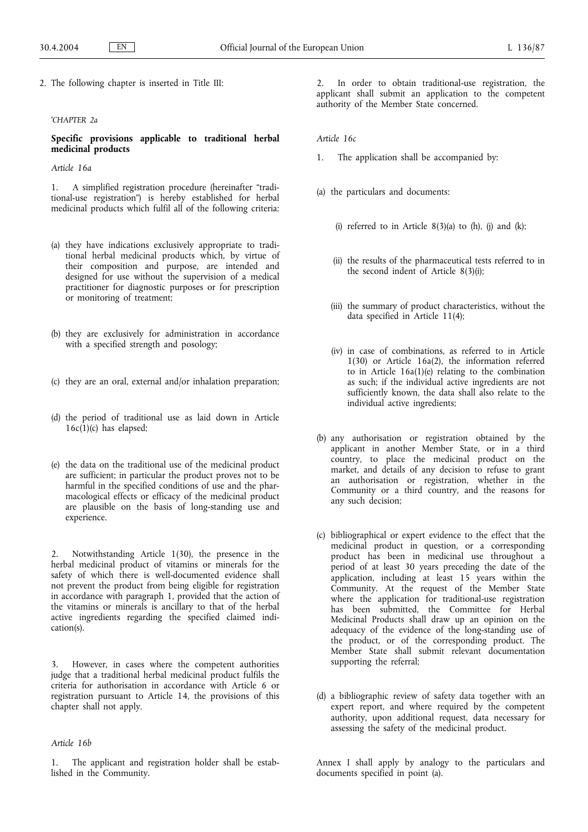2. The following chapter is inserted in Title III:

### *'CHAPTER 2a*

**Specific provisions applicable to traditional herbal medicinal products**

*Article 16a*

1. A simplified registration procedure (hereinafter "traditional-use registration") is hereby established for herbal medicinal products which fulfil all of the following criteria:

- (a) they have indications exclusively appropriate to traditional herbal medicinal products which, by virtue of their composition and purpose, are intended and designed for use without the supervision of a medical practitioner for diagnostic purposes or for prescription or monitoring of treatment;
- (b) they are exclusively for administration in accordance with a specified strength and posology;
- (c) they are an oral, external and/or inhalation preparation;
- (d) the period of traditional use as laid down in Article  $16c(1)(c)$  has elapsed;
- (e) the data on the traditional use of the medicinal product are sufficient; in particular the product proves not to be harmful in the specified conditions of use and the pharmacological effects or efficacy of the medicinal product are plausible on the basis of long-standing use and experience.

2. Notwithstanding Article 1(30), the presence in the herbal medicinal product of vitamins or minerals for the safety of which there is well-documented evidence shall not prevent the product from being eligible for registration in accordance with paragraph 1, provided that the action of the vitamins or minerals is ancillary to that of the herbal active ingredients regarding the specified claimed indication(s).

3. However, in cases where the competent authorities judge that a traditional herbal medicinal product fulfils the criteria for authorisation in accordance with Article 6 or registration pursuant to Article 14, the provisions of this chapter shall not apply.

### *Article 16b*

The applicant and registration holder shall be established in the Community.

2. In order to obtain traditional-use registration, the applicant shall submit an application to the competent authority of the Member State concerned.

*Article 16c*

- 1. The application shall be accompanied by:
- (a) the particulars and documents:
	- (i) referred to in Article  $8(3)(a)$  to (h), (j) and (k);
	- (ii) the results of the pharmaceutical tests referred to in the second indent of Article 8(3)(i);
	- (iii) the summary of product characteristics, without the data specified in Article 11(4);
	- (iv) in case of combinations, as referred to in Article 1(30) or Article 16a(2), the information referred to in Article  $16a(1)(e)$  relating to the combination as such; if the individual active ingredients are not sufficiently known, the data shall also relate to the individual active ingredients;
- (b) any authorisation or registration obtained by the applicant in another Member State, or in a third country, to place the medicinal product on the market, and details of any decision to refuse to grant an authorisation or registration, whether in the Community or a third country, and the reasons for any such decision;
- (c) bibliographical or expert evidence to the effect that the medicinal product in question, or a corresponding product has been in medicinal use throughout a period of at least 30 years preceding the date of the application, including at least 15 years within the Community. At the request of the Member State where the application for traditional-use registration has been submitted, the Committee for Herbal Medicinal Products shall draw up an opinion on the adequacy of the evidence of the long-standing use of the product, or of the corresponding product. The Member State shall submit relevant documentation supporting the referral;
- (d) a bibliographic review of safety data together with an expert report, and where required by the competent authority, upon additional request, data necessary for assessing the safety of the medicinal product.

Annex I shall apply by analogy to the particulars and documents specified in point (a).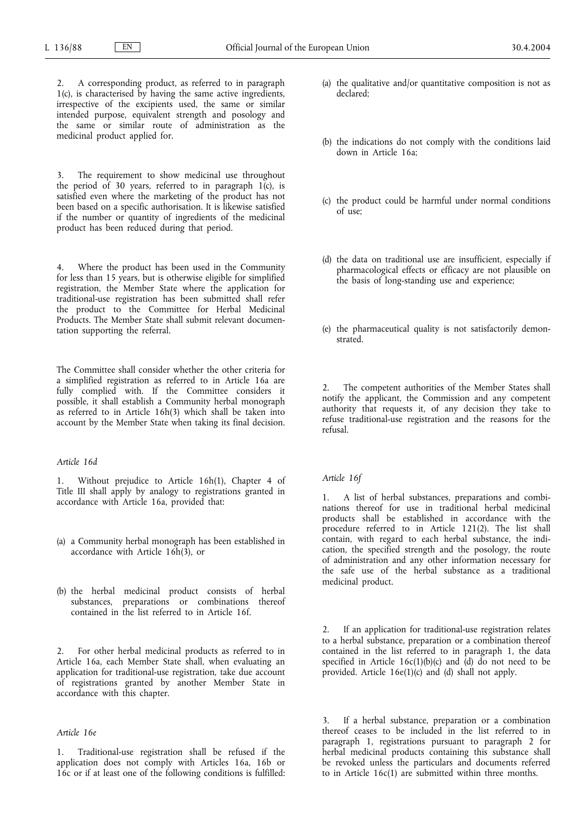2. A corresponding product, as referred to in paragraph 1(c), is characterised by having the same active ingredients, irrespective of the excipients used, the same or similar intended purpose, equivalent strength and posology and the same or similar route of administration as the medicinal product applied for.

3. The requirement to show medicinal use throughout the period of 30 years, referred to in paragraph 1(c), is satisfied even where the marketing of the product has not been based on a specific authorisation. It is likewise satisfied if the number or quantity of ingredients of the medicinal product has been reduced during that period.

4. Where the product has been used in the Community for less than 15 years, but is otherwise eligible for simplified registration, the Member State where the application for traditional-use registration has been submitted shall refer the product to the Committee for Herbal Medicinal Products. The Member State shall submit relevant documentation supporting the referral.

The Committee shall consider whether the other criteria for a simplified registration as referred to in Article 16a are fully complied with. If the Committee considers it possible, it shall establish a Community herbal monograph as referred to in Article 16h(3) which shall be taken into account by the Member State when taking its final decision.

### *Article 16d*

1. Without prejudice to Article 16h(1), Chapter 4 of Title III shall apply by analogy to registrations granted in accordance with Article 16a, provided that:

- (a) a Community herbal monograph has been established in accordance with Article 16h(3), or
- (b) the herbal medicinal product consists of herbal substances, preparations or combinations thereof contained in the list referred to in Article 16f.

2. For other herbal medicinal products as referred to in Article 16a, each Member State shall, when evaluating an application for traditional-use registration, take due account of registrations granted by another Member State in accordance with this chapter.

# *Article 16e*

1. Traditional-use registration shall be refused if the application does not comply with Articles 16a, 16b or 16c or if at least one of the following conditions is fulfilled:

- (a) the qualitative and/or quantitative composition is not as declared;
- (b) the indications do not comply with the conditions laid down in Article 16a;
- (c) the product could be harmful under normal conditions  $of$  use;
- (d) the data on traditional use are insufficient, especially if pharmacological effects or efficacy are not plausible on the basis of long-standing use and experience;
- (e) the pharmaceutical quality is not satisfactorily demonstrated.

2. The competent authorities of the Member States shall notify the applicant, the Commission and any competent authority that requests it, of any decision they take to refuse traditional-use registration and the reasons for the refusal.

#### *Article 16f*

1. A list of herbal substances, preparations and combinations thereof for use in traditional herbal medicinal products shall be established in accordance with the procedure referred to in Article 121(2). The list shall contain, with regard to each herbal substance, the indication, the specified strength and the posology, the route of administration and any other information necessary for the safe use of the herbal substance as a traditional medicinal product.

2. If an application for traditional-use registration relates to a herbal substance, preparation or a combination thereof contained in the list referred to in paragraph 1, the data specified in Article  $16c(1)(b)(c)$  and  $\overline{(d)}$  do not need to be provided. Article 16e(1)(c) and (d) shall not apply.

3. If a herbal substance, preparation or a combination thereof ceases to be included in the list referred to in paragraph 1, registrations pursuant to paragraph 2 for herbal medicinal products containing this substance shall be revoked unless the particulars and documents referred to in Article 16c(1) are submitted within three months.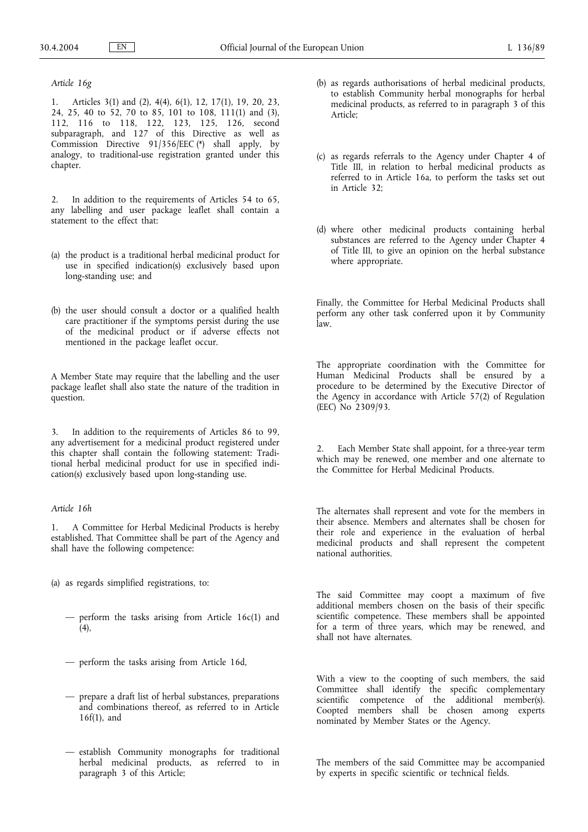### *Article 16g*

1. Articles 3(1) and (2), 4(4), 6(1), 12, 17(1), 19, 20, 23, 24, 25, 40 to 52, 70 to 85, 101 to 108, 111(1) and (3), 112, 116 to 118, 122, 123, 125, 126, second subparagraph, and 127 of this Directive as well as Commission Directive 91/356/EEC (\*) shall apply, by analogy, to traditional-use registration granted under this chapter.

2. In addition to the requirements of Articles 54 to 65, any labelling and user package leaflet shall contain a statement to the effect that:

- (a) the product is a traditional herbal medicinal product for use in specified indication(s) exclusively based upon long-standing use; and
- (b) the user should consult a doctor or a qualified health care practitioner if the symptoms persist during the use of the medicinal product or if adverse effects not mentioned in the package leaflet occur.

A Member State may require that the labelling and the user package leaflet shall also state the nature of the tradition in question.

In addition to the requirements of Articles 86 to 99, any advertisement for a medicinal product registered under this chapter shall contain the following statement: Traditional herbal medicinal product for use in specified indication(s) exclusively based upon long-standing use.

## *Article 16h*

1. A Committee for Herbal Medicinal Products is hereby established. That Committee shall be part of the Agency and shall have the following competence:

(a) as regards simplified registrations, to:

- perform the tasks arising from Article 16c(1) and  $(4)$ ,
- perform the tasks arising from Article 16d,
- prepare a draft list of herbal substances, preparations and combinations thereof, as referred to in Article 16f(1), and
- establish Community monographs for traditional herbal medicinal products, as referred to in paragraph 3 of this Article;
- (b) as regards authorisations of herbal medicinal products, to establish Community herbal monographs for herbal medicinal products, as referred to in paragraph 3 of this Article;
- (c) as regards referrals to the Agency under Chapter 4 of Title III, in relation to herbal medicinal products as referred to in Article 16a, to perform the tasks set out in Article 32;
- (d) where other medicinal products containing herbal substances are referred to the Agency under Chapter 4 of Title III, to give an opinion on the herbal substance where appropriate.

Finally, the Committee for Herbal Medicinal Products shall perform any other task conferred upon it by Community law.

The appropriate coordination with the Committee for Human Medicinal Products shall be ensured by a procedure to be determined by the Executive Director of the Agency in accordance with Article 57(2) of Regulation (EEC) No 2309/93.

Each Member State shall appoint, for a three-year term which may be renewed, one member and one alternate to the Committee for Herbal Medicinal Products.

The alternates shall represent and vote for the members in their absence. Members and alternates shall be chosen for their role and experience in the evaluation of herbal medicinal products and shall represent the competent national authorities.

The said Committee may coopt a maximum of five additional members chosen on the basis of their specific scientific competence. These members shall be appointed for a term of three years, which may be renewed, and shall not have alternates.

With a view to the coopting of such members, the said Committee shall identify the specific complementary scientific competence of the additional member(s). Coopted members shall be chosen among experts nominated by Member States or the Agency.

The members of the said Committee may be accompanied by experts in specific scientific or technical fields.